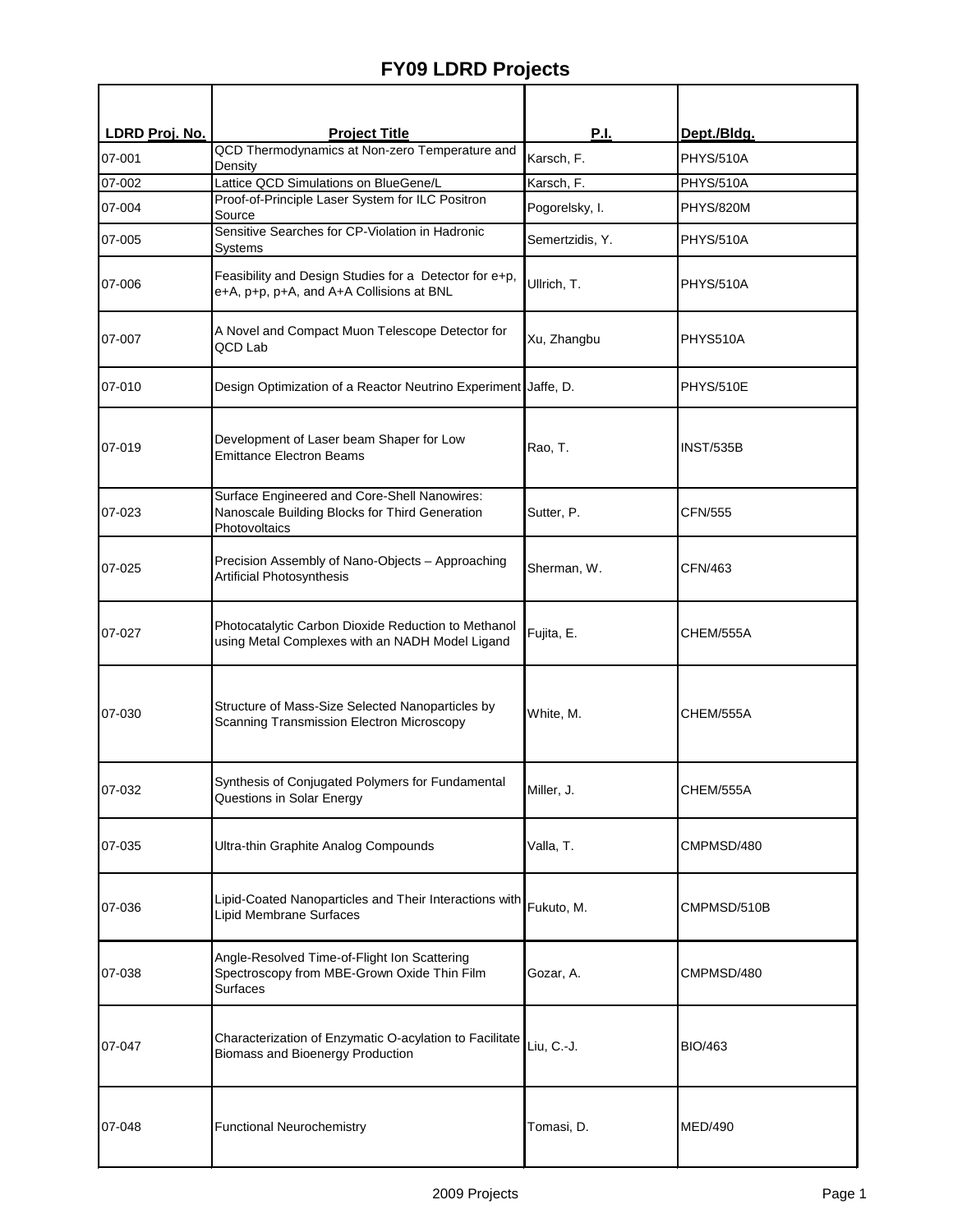## **FY09 LDRD Projects**

| LDRD Proj. No. | <b>Project Title</b>                                                                                            | <u>P.I.</u>     | Dept./Bldg.      |
|----------------|-----------------------------------------------------------------------------------------------------------------|-----------------|------------------|
| 07-001         | QCD Thermodynamics at Non-zero Temperature and<br>Density                                                       | Karsch, F.      | <b>PHYS/510A</b> |
| 07-002         | Lattice QCD Simulations on BlueGene/L                                                                           | Karsch, F.      | PHYS/510A        |
| 07-004         | Proof-of-Principle Laser System for ILC Positron<br>Source                                                      | Pogorelsky, I.  | PHYS/820M        |
| 07-005         | Sensitive Searches for CP-Violation in Hadronic<br>Systems                                                      | Semertzidis, Y. | PHYS/510A        |
| 07-006         | Feasibility and Design Studies for a Detector for e+p,<br>e+A, p+p, p+A, and A+A Collisions at BNL              | Ullrich, T.     | PHYS/510A        |
| 07-007         | A Novel and Compact Muon Telescope Detector for<br>QCD Lab                                                      | Xu, Zhangbu     | PHYS510A         |
| 07-010         | Design Optimization of a Reactor Neutrino Experiment Jaffe, D.                                                  |                 | PHYS/510E        |
| 07-019         | Development of Laser beam Shaper for Low<br><b>Emittance Electron Beams</b>                                     | Rao, T.         | <b>INST/535B</b> |
| 07-023         | Surface Engineered and Core-Shell Nanowires:<br>Nanoscale Building Blocks for Third Generation<br>Photovoltaics | Sutter, P.      | <b>CFN/555</b>   |
| 07-025         | Precision Assembly of Nano-Objects - Approaching<br>Artificial Photosynthesis                                   | Sherman, W.     | CFN/463          |
| 07-027         | Photocatalytic Carbon Dioxide Reduction to Methanol<br>using Metal Complexes with an NADH Model Ligand          | Fujita, E.      | CHEM/555A        |
| 07-030         | Structure of Mass-Size Selected Nanoparticles by<br><b>Scanning Transmission Electron Microscopy</b>            | White, M.       | CHEM/555A        |
| 07-032         | Synthesis of Conjugated Polymers for Fundamental<br>Questions in Solar Energy                                   | Miller, J.      | CHEM/555A        |
| 07-035         | Ultra-thin Graphite Analog Compounds                                                                            | Valla, T.       | CMPMSD/480       |
| 07-036         | Lipid-Coated Nanoparticles and Their Interactions with Fukuto, M.<br><b>Lipid Membrane Surfaces</b>             |                 | CMPMSD/510B      |
| 07-038         | Angle-Resolved Time-of-Flight Ion Scattering<br>Spectroscopy from MBE-Grown Oxide Thin Film<br><b>Surfaces</b>  | Gozar, A.       | CMPMSD/480       |
| 07-047         | Characterization of Enzymatic O-acylation to Facilitate<br><b>Biomass and Bioenergy Production</b>              | Liu, C.-J.      | <b>BIO/463</b>   |
| 07-048         | <b>Functional Neurochemistry</b>                                                                                | Tomasi, D.      | <b>MED/490</b>   |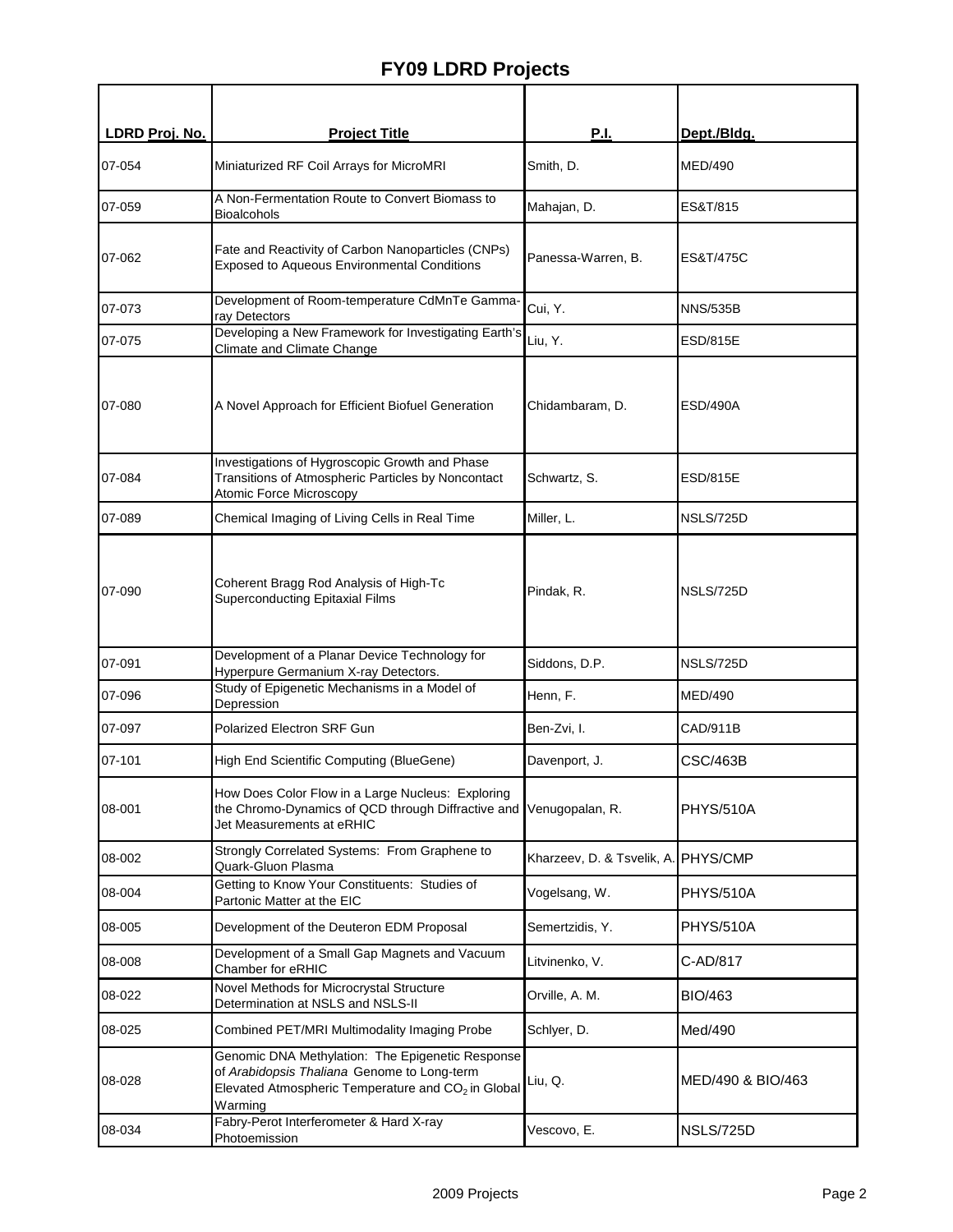## **FY09 LDRD Projects**

| LDRD Proj. No. | <b>Project Title</b>                                                                                                                                                         | <b>P.I.</b>                         | Dept./Bldg.          |
|----------------|------------------------------------------------------------------------------------------------------------------------------------------------------------------------------|-------------------------------------|----------------------|
| 07-054         | Miniaturized RF Coil Arrays for MicroMRI                                                                                                                                     | Smith, D.                           | MED/490              |
| 07-059         | A Non-Fermentation Route to Convert Biomass to<br><b>Bioalcohols</b>                                                                                                         | Mahajan, D.                         | ES&T/815             |
| 07-062         | Fate and Reactivity of Carbon Nanoparticles (CNPs)<br><b>Exposed to Aqueous Environmental Conditions</b>                                                                     | Panessa-Warren, B.                  | <b>ES&amp;T/475C</b> |
| 07-073         | Development of Room-temperature CdMnTe Gamma-<br>ray Detectors                                                                                                               | Cui, Y.                             | <b>NNS/535B</b>      |
| 07-075         | Developing a New Framework for Investigating Earth's<br>Climate and Climate Change                                                                                           | Liu, Y.                             | <b>ESD/815E</b>      |
| 07-080         | A Novel Approach for Efficient Biofuel Generation                                                                                                                            | Chidambaram, D.                     | ESD/490A             |
| 07-084         | Investigations of Hygroscopic Growth and Phase<br>Transitions of Atmospheric Particles by Noncontact<br>Atomic Force Microscopy                                              | Schwartz, S.                        | <b>ESD/815E</b>      |
| 07-089         | Chemical Imaging of Living Cells in Real Time                                                                                                                                | Miller, L.                          | NSLS/725D            |
| 07-090         | Coherent Bragg Rod Analysis of High-Tc<br><b>Superconducting Epitaxial Films</b>                                                                                             | Pindak, R.                          | NSLS/725D            |
| 07-091         | Development of a Planar Device Technology for<br>Hyperpure Germanium X-ray Detectors.                                                                                        | Siddons, D.P.                       | NSLS/725D            |
| 07-096         | Study of Epigenetic Mechanisms in a Model of<br>Depression                                                                                                                   | Henn, F.                            | <b>MED/490</b>       |
| 07-097         | Polarized Electron SRF Gun                                                                                                                                                   | Ben-Zvi, I.                         | CAD/911B             |
| 07-101         | High End Scientific Computing (BlueGene)                                                                                                                                     | Davenport, J.                       | CSC/463B             |
| 08-001         | How Does Color Flow in a Large Nucleus: Exploring<br>the Chromo-Dynamics of QCD through Diffractive and<br>Jet Measurements at eRHIC                                         | Venugopalan, R.                     | <b>PHYS/510A</b>     |
| 08-002         | Strongly Correlated Systems: From Graphene to<br>Quark-Gluon Plasma                                                                                                          | Kharzeev, D. & Tsvelik, A. PHYS/CMP |                      |
| 08-004         | Getting to Know Your Constituents: Studies of<br>Partonic Matter at the EIC                                                                                                  | Vogelsang, W.                       | <b>PHYS/510A</b>     |
| 08-005         | Development of the Deuteron EDM Proposal                                                                                                                                     | Semertzidis, Y.                     | <b>PHYS/510A</b>     |
| 08-008         | Development of a Small Gap Magnets and Vacuum<br>Chamber for eRHIC                                                                                                           | Litvinenko, V.                      | C-AD/817             |
| 08-022         | Novel Methods for Microcrystal Structure<br>Determination at NSLS and NSLS-II                                                                                                | Orville, A. M.                      | <b>BIO/463</b>       |
| 08-025         | Combined PET/MRI Multimodality Imaging Probe                                                                                                                                 | Schlyer, D.                         | Med/490              |
| 08-028         | Genomic DNA Methylation: The Epigenetic Response<br>of Arabidopsis Thaliana Genome to Long-term<br>Elevated Atmospheric Temperature and CO <sub>2</sub> in Global<br>Warming | Liu, Q.                             | MED/490 & BIO/463    |
| 08-034         | Fabry-Perot Interferometer & Hard X-ray<br>Photoemission                                                                                                                     | Vescovo, E.                         | <b>NSLS/725D</b>     |
|                |                                                                                                                                                                              |                                     |                      |